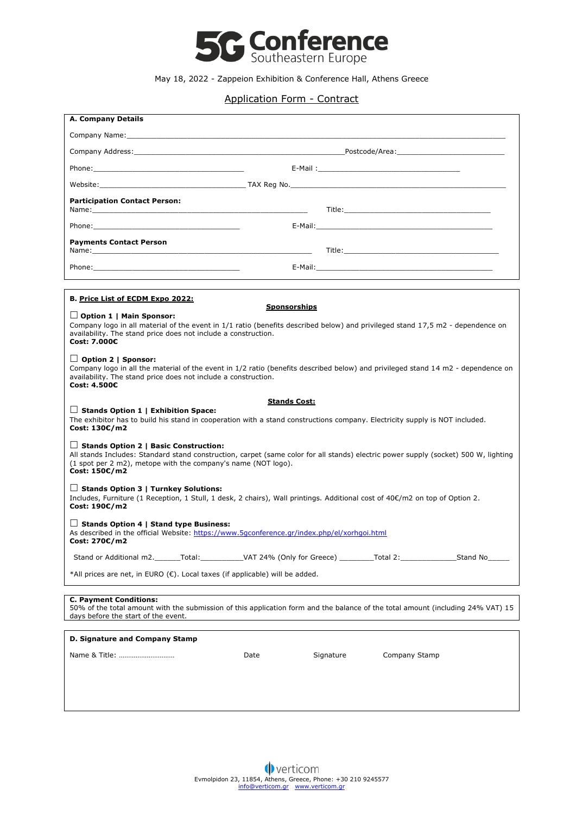

## May 18, 2022 - Zappeion Exhibition & Conference Hall, Athens Greece

## Application Form - Contract

| <b>A. Company Details</b>                                                                                                                                                                                                                                             |                                                                                                                |           |                                                                                                                                                                                                                                |
|-----------------------------------------------------------------------------------------------------------------------------------------------------------------------------------------------------------------------------------------------------------------------|----------------------------------------------------------------------------------------------------------------|-----------|--------------------------------------------------------------------------------------------------------------------------------------------------------------------------------------------------------------------------------|
|                                                                                                                                                                                                                                                                       |                                                                                                                |           |                                                                                                                                                                                                                                |
|                                                                                                                                                                                                                                                                       | Company Address: Note and the Company Address: Note and the Company Address: Note and the Company Address: Not |           |                                                                                                                                                                                                                                |
| Phone: Note: The Commission of the Commission of the Commission of the Commission of the Commission of the Commission of the Commission of the Commission of the Commission of the Commission of the Commission of the Commiss                                        |                                                                                                                |           | E-Mail: The contract of the contract of the contract of the contract of the contract of the contract of the contract of the contract of the contract of the contract of the contract of the contract of the contract of the co |
|                                                                                                                                                                                                                                                                       |                                                                                                                |           |                                                                                                                                                                                                                                |
| <b>Participation Contact Person:</b>                                                                                                                                                                                                                                  |                                                                                                                |           |                                                                                                                                                                                                                                |
|                                                                                                                                                                                                                                                                       |                                                                                                                |           |                                                                                                                                                                                                                                |
| Phone: The contract of the contract of the contract of the contract of the contract of the contract of the contract of the contract of the contract of the contract of the contract of the contract of the contract of the con                                        |                                                                                                                |           |                                                                                                                                                                                                                                |
| <b>Payments Contact Person</b>                                                                                                                                                                                                                                        |                                                                                                                |           |                                                                                                                                                                                                                                |
|                                                                                                                                                                                                                                                                       |                                                                                                                |           |                                                                                                                                                                                                                                |
|                                                                                                                                                                                                                                                                       |                                                                                                                |           |                                                                                                                                                                                                                                |
| B. Price List of ECDM Expo 2022:                                                                                                                                                                                                                                      |                                                                                                                |           |                                                                                                                                                                                                                                |
|                                                                                                                                                                                                                                                                       | <b>Sponsorships</b>                                                                                            |           |                                                                                                                                                                                                                                |
| $\Box$ Option 1   Main Sponsor:<br>Company logo in all material of the event in 1/1 ratio (benefits described below) and privileged stand 17,5 m2 - dependence on<br>availability. The stand price does not include a construction.<br>Cost: 7.000€                   |                                                                                                                |           |                                                                                                                                                                                                                                |
| $\Box$ Option 2   Sponsor:<br>Company logo in all the material of the event in 1/2 ratio (benefits described below) and privileged stand 14 m2 - dependence on<br>availability. The stand price does not include a construction.<br>Cost: 4.500€                      |                                                                                                                |           |                                                                                                                                                                                                                                |
| <b>Stands Cost:</b>                                                                                                                                                                                                                                                   |                                                                                                                |           |                                                                                                                                                                                                                                |
| $\Box$ Stands Option 1   Exhibition Space:<br>The exhibitor has to build his stand in cooperation with a stand constructions company. Electricity supply is NOT included.<br>Cost: 130€/m2                                                                            |                                                                                                                |           |                                                                                                                                                                                                                                |
| $\Box$ Stands Option 2   Basic Construction:<br>All stands Includes: Standard stand construction, carpet (same color for all stands) electric power supply (socket) 500 W, lighting<br>(1 spot per 2 m2), metope with the company's name (NOT logo).<br>Cost: 150€/m2 |                                                                                                                |           |                                                                                                                                                                                                                                |
| $\Box$ Stands Option 3   Turnkey Solutions:<br>Includes, Furniture (1 Reception, 1 Stull, 1 desk, 2 chairs), Wall printings. Additional cost of 40€/m2 on top of Option 2.<br>Cost: 190€/m2                                                                           |                                                                                                                |           |                                                                                                                                                                                                                                |
| $\Box$ Stands Option 4   Stand type Business:<br>As described in the official Website: https://www.5qconference.gr/index.php/el/xorhgoi.html<br>Cost: 270€/m2                                                                                                         |                                                                                                                |           |                                                                                                                                                                                                                                |
| Stand or Additional m2. _______Total: _____________VAT 24% (Only for Greece) _________Total 2: _____________Stand No                                                                                                                                                  |                                                                                                                |           |                                                                                                                                                                                                                                |
| *All prices are net, in EURO (€). Local taxes (if applicable) will be added.                                                                                                                                                                                          |                                                                                                                |           |                                                                                                                                                                                                                                |
|                                                                                                                                                                                                                                                                       |                                                                                                                |           |                                                                                                                                                                                                                                |
| <b>C. Payment Conditions:</b><br>50% of the total amount with the submission of this application form and the balance of the total amount (including 24% VAT) 15<br>days before the start of the event.                                                               |                                                                                                                |           |                                                                                                                                                                                                                                |
| D. Signature and Company Stamp                                                                                                                                                                                                                                        |                                                                                                                |           |                                                                                                                                                                                                                                |
| Name & Title:                                                                                                                                                                                                                                                         | Date                                                                                                           | Signature | Company Stamp                                                                                                                                                                                                                  |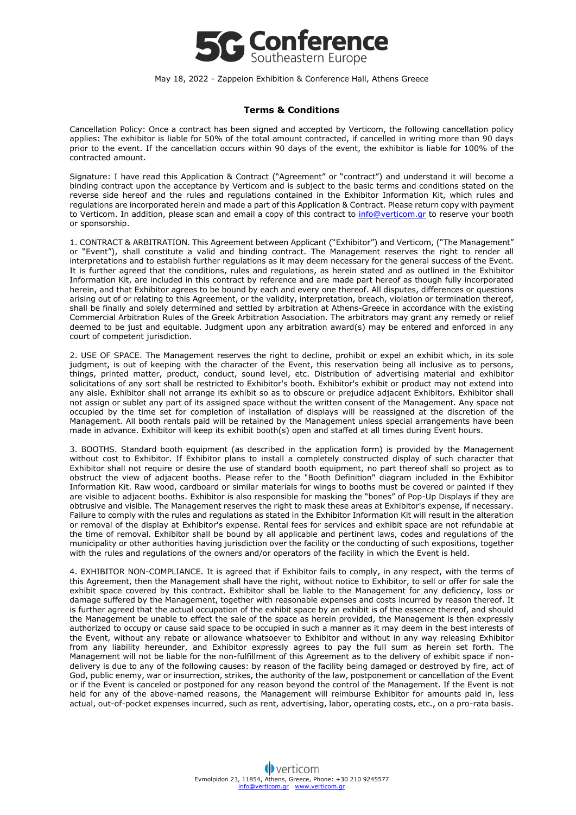

May 18, 2022 - Zappeion Exhibition & Conference Hall, Athens Greece

## **Terms & Conditions**

Cancellation Policy: Once a contract has been signed and accepted by Verticom, the following cancellation policy applies: The exhibitor is liable for 50% of the total amount contracted, if cancelled in writing more than 90 days prior to the event. If the cancellation occurs within 90 days of the event, the exhibitor is liable for 100% of the contracted amount.

Signature: I have read this Application & Contract ("Agreement" or "contract") and understand it will become a binding contract upon the acceptance by Verticom and is subject to the basic terms and conditions stated on the reverse side hereof and the rules and regulations contained in the Exhibitor Information Kit, which rules and regulations are incorporated herein and made a part of this Application & Contract. Please return copy with payment to Verticom. In addition, please scan and email a copy of this contract to [info@verticom.gr](mailto:info@verticom.gr) to reserve your booth or sponsorship.

1. CONTRACT & ARBITRATION. This Agreement between Applicant ("Exhibitor") and Verticom, ("The Management" or "Event"), shall constitute a valid and binding contract. The Management reserves the right to render all interpretations and to establish further regulations as it may deem necessary for the general success of the Event. It is further agreed that the conditions, rules and regulations, as herein stated and as outlined in the Exhibitor Information Kit, are included in this contract by reference and are made part hereof as though fully incorporated herein, and that Exhibitor agrees to be bound by each and every one thereof. All disputes, differences or questions arising out of or relating to this Agreement, or the validity, interpretation, breach, violation or termination thereof, shall be finally and solely determined and settled by arbitration at Athens-Greece in accordance with the existing Commercial Arbitration Rules of the Greek Arbitration Association. The arbitrators may grant any remedy or relief deemed to be just and equitable. Judgment upon any arbitration award(s) may be entered and enforced in any court of competent jurisdiction.

2. USE OF SPACE. The Management reserves the right to decline, prohibit or expel an exhibit which, in its sole judgment, is out of keeping with the character of the Event, this reservation being all inclusive as to persons, things, printed matter, product, conduct, sound level, etc. Distribution of advertising material and exhibitor solicitations of any sort shall be restricted to Exhibitor's booth. Exhibitor's exhibit or product may not extend into any aisle. Exhibitor shall not arrange its exhibit so as to obscure or prejudice adjacent Exhibitors. Exhibitor shall not assign or sublet any part of its assigned space without the written consent of the Management. Any space not occupied by the time set for completion of installation of displays will be reassigned at the discretion of the Management. All booth rentals paid will be retained by the Management unless special arrangements have been made in advance. Exhibitor will keep its exhibit booth(s) open and staffed at all times during Event hours.

3. BOOTHS. Standard booth equipment (as described in the application form) is provided by the Management without cost to Exhibitor. If Exhibitor plans to install a completely constructed display of such character that Exhibitor shall not require or desire the use of standard booth equipment, no part thereof shall so project as to obstruct the view of adjacent booths. Please refer to the "Booth Definition" diagram included in the Exhibitor Information Kit. Raw wood, cardboard or similar materials for wings to booths must be covered or painted if they are visible to adjacent booths. Exhibitor is also responsible for masking the "bones" of Pop-Up Displays if they are obtrusive and visible. The Management reserves the right to mask these areas at Exhibitor's expense, if necessary. Failure to comply with the rules and regulations as stated in the Exhibitor Information Kit will result in the alteration or removal of the display at Exhibitor's expense. Rental fees for services and exhibit space are not refundable at the time of removal. Exhibitor shall be bound by all applicable and pertinent laws, codes and regulations of the municipality or other authorities having jurisdiction over the facility or the conducting of such expositions, together with the rules and regulations of the owners and/or operators of the facility in which the Event is held.

4. EXHIBITOR NON-COMPLIANCE. It is agreed that if Exhibitor fails to comply, in any respect, with the terms of this Agreement, then the Management shall have the right, without notice to Exhibitor, to sell or offer for sale the exhibit space covered by this contract. Exhibitor shall be liable to the Management for any deficiency, loss or damage suffered by the Management, together with reasonable expenses and costs incurred by reason thereof. It is further agreed that the actual occupation of the exhibit space by an exhibit is of the essence thereof, and should the Management be unable to effect the sale of the space as herein provided, the Management is then expressly authorized to occupy or cause said space to be occupied in such a manner as it may deem in the best interests of the Event, without any rebate or allowance whatsoever to Exhibitor and without in any way releasing Exhibitor from any liability hereunder, and Exhibitor expressly agrees to pay the full sum as herein set forth. The Management will not be liable for the non-fulfillment of this Agreement as to the delivery of exhibit space if nondelivery is due to any of the following causes: by reason of the facility being damaged or destroyed by fire, act of God, public enemy, war or insurrection, strikes, the authority of the law, postponement or cancellation of the Event or if the Event is canceled or postponed for any reason beyond the control of the Management. If the Event is not held for any of the above-named reasons, the Management will reimburse Exhibitor for amounts paid in, less actual, out-of-pocket expenses incurred, such as rent, advertising, labor, operating costs, etc., on a pro-rata basis.